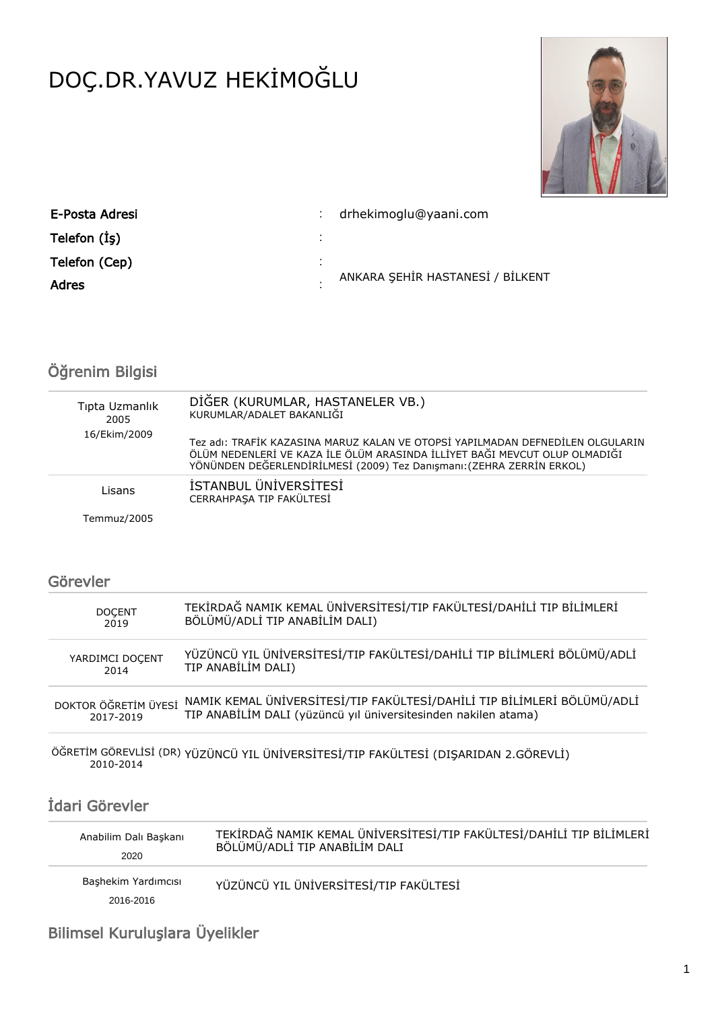# DOÇ.DR.YAVUZ HEKİMOĞLU



| E-Posta Adresi |        | drhekimoglu@yaani.com            |
|----------------|--------|----------------------------------|
| Telefon (İş)   | ٠<br>٠ |                                  |
| Telefon (Cep)  | ٠.     |                                  |
| Adres          |        | ANKARA ŞEHİR HASTANESİ / BİLKENT |

# Öğrenim Bilgisi

| Tipta Uzmanlık<br>2005 | DİĞER (KURUMLAR, HASTANELER VB.)<br>KURUMLAR/ADALET BAKANLIĞI                                                                                                                                                                         |
|------------------------|---------------------------------------------------------------------------------------------------------------------------------------------------------------------------------------------------------------------------------------|
| 16/Ekim/2009           | Tez adı: TRAFİK KAZASINA MARUZ KALAN VE OTOPSİ YAPILMADAN DEFNEDİLEN OLGULARIN<br>ÖLÜM NEDENLERİ VE KAZA İLE ÖLÜM ARASINDA İLLİYET BAĞI MEVCUT OLUP OLMADIĞI<br>YÖNÜNDEN DEĞERLENDİRİLMESİ (2009) Tez Danışmanı: (ZEHRA ZERRİN ERKOL) |
| Lisans                 | İSTANBUL ÜNİVERSİTESİ<br>CERRAHPASA TIP FAKÜLTESİ                                                                                                                                                                                     |
| Temmuz/2005            |                                                                                                                                                                                                                                       |

## Görevler

| <b>DOCENT</b>        | TEKİRDAĞ NAMIK KEMAL ÜNİVERSİTESİ/TIP FAKÜLTESİ/DAHİLİ TIP BİLİMLERİ    |
|----------------------|-------------------------------------------------------------------------|
| 2019                 | BÖLÜMÜ/ADLİ TIP ANABİLİM DALI)                                          |
| YARDIMCI DOCENT      | YÜZÜNCÜ YIL ÜNİVERSİTESİ/TIP FAKÜLTESİ/DAHİLİ TIP BİLİMLERİ BÖLÜMÜ/ADLİ |
| 2014                 | TIP ANABİLİM DALI)                                                      |
| DOKTOR ÖĞRETİM ÜYESİ | NAMIK KEMAL ÜNİVERSİTESİ/TIP FAKÜLTESİ/DAHİLİ TIP BİLİMLERİ BÖLÜMÜ/ADLİ |
| 2017-2019            | TIP ANABİLİM DALI (yüzüncü yıl üniversitesinden nakilen atama)          |

ÖĞRETİM GÖREVLİSİ (DR) YÜZÜNCÜ YIL ÜNİVERSİTESİ/TIP FAKÜLTESİ (DIŞARIDAN 2.GÖREVLİ) 2010-2014

# İdari Görevler

| Anabilim Dalı Başkanı            | TEKİRDAĞ NAMIK KEMAL ÜNİVERSİTESİ/TIP FAKÜLTESİ/DAHİLİ TIP BİLİMLERİ |
|----------------------------------|----------------------------------------------------------------------|
| 2020                             | BÖLÜMÜ/ADLİ TIP ANABİLİM DALI                                        |
| Bashekim Yardımcısı<br>2016-2016 | YÜZÜNCÜ YIL ÜNİVERSİTESİ/TIP FAKÜLTESİ                               |

# Bilimsel Kuruluşlara Üyelikler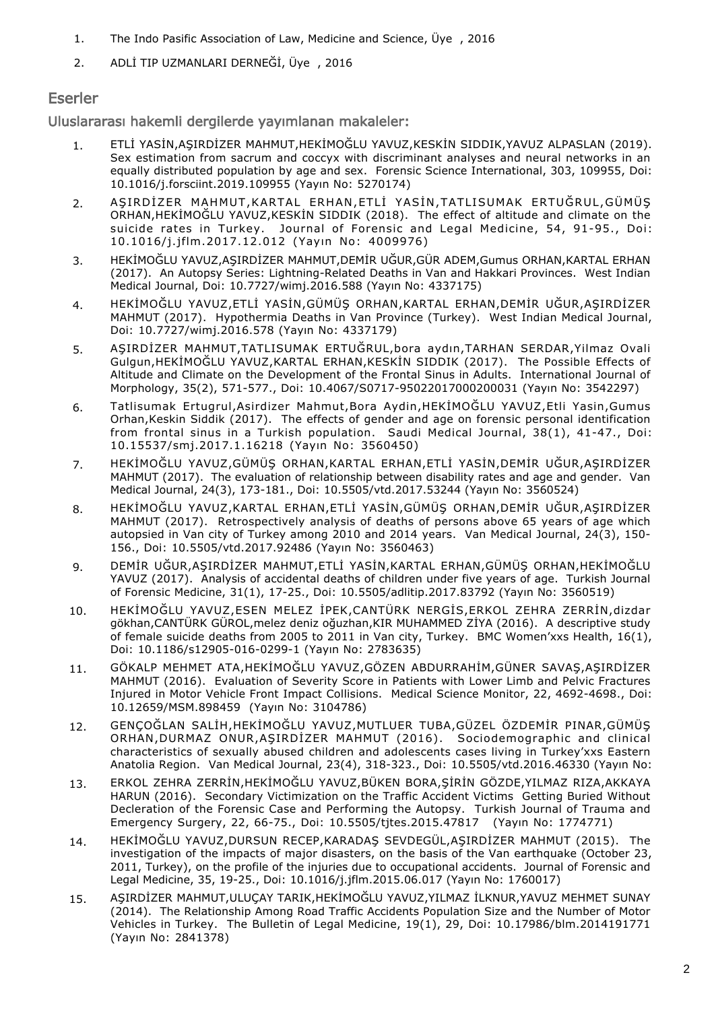- 1. The Indo Pasific Association of Law, Medicine and Science, Üye , 2016
- 2. ADLİ TIP UZMANLARI DERNEĞİ, Üye , 2016

### Eserler

Uluslararası hakemli dergilerde yayımlanan makaleler:

- 1. ETLİ YASİN,AŞIRDİZER MAHMUT,HEKİMOĞLU YAVUZ,KESKİN SIDDIK,YAVUZ ALPASLAN (2019). Sex estimation from sacrum and coccyx with discriminant analyses and neural networks in an equally distributed population by age and sex. Forensic Science International, 303, 109955, Doi: 10.1016/j.forsciint.2019.109955 (Yayın No: 5270174)
- 2. AŞIRDİZER MAHMUT,KARTAL ERHAN,ETLİ YASİN,TATLISUMAK ERTUĞRUL,GÜMÜŞ ORHAN,HEKİMOĞLU YAVUZ,KESKİN SIDDIK (2018). The effect of altitude and climate on the suicide rates in Turkey. Journal of Forensic and Legal Medicine, 54, 91-95., Doi: 10.1016/j.jflm.2017.12.012 (Yayın No: 4009976)
- 3. HEKİMOĞLU YAVUZ,AŞIRDİZER MAHMUT,DEMİR UĞUR,GÜR ADEM,Gumus ORHAN,KARTAL ERHAN (2017). An Autopsy Series: Lightning-Related Deaths in Van and Hakkari Provinces. West Indian Medical Journal, Doi: 10.7727/wimj.2016.588 (Yayın No: 4337175)
- 4. HEKİMOĞLU YAVUZ,ETLİ YASİN,GÜMÜŞ ORHAN,KARTAL ERHAN,DEMİR UĞUR,AŞIRDİZER MAHMUT (2017). Hypothermia Deaths in Van Province (Turkey). West Indian Medical Journal, Doi: 10.7727/wimj.2016.578 (Yayın No: 4337179)
- 5. AŞIRDİZER MAHMUT,TATLISUMAK ERTUĞRUL,bora aydın,TARHAN SERDAR,Yilmaz Ovali Gulgun,HEKİMOĞLU YAVUZ,KARTAL ERHAN,KESKİN SIDDIK (2017). The Possible Effects of Altitude and Climate on the Development of the Frontal Sinus in Adults. International Journal of Morphology, 35(2), 571-577., Doi: 10.4067/S0717-95022017000200031 (Yayın No: 3542297)
- 6. Tatlisumak Ertugrul,Asirdizer Mahmut,Bora Aydin,HEKİMOĞLU YAVUZ,Etli Yasin,Gumus Orhan,Keskin Siddik (2017). The effects of gender and age on forensic personal identification from frontal sinus in a Turkish population. Saudi Medical Journal, 38(1), 41-47., Doi: 10.15537/smj.2017.1.16218 (Yayın No: 3560450)
- 7. HEKİMOĞLU YAVUZ,GÜMÜŞ ORHAN,KARTAL ERHAN,ETLİ YASİN,DEMİR UĞUR,AŞIRDİZER MAHMUT (2017). The evaluation of relationship between disability rates and age and gender. Van Medical Journal, 24(3), 173-181., Doi: 10.5505/vtd.2017.53244 (Yayın No: 3560524)
- 8. HEKİMOĞLU YAVUZ,KARTAL ERHAN,ETLİ YASİN,GÜMÜŞ ORHAN,DEMİR UĞUR,AŞIRDİZER MAHMUT (2017). Retrospectively analysis of deaths of persons above 65 years of age which autopsied in Van city of Turkey among 2010 and 2014 years. Van Medical Journal, 24(3), 150- 156., Doi: 10.5505/vtd.2017.92486 (Yayın No: 3560463)
- 9. DEMİR UĞUR,AŞIRDİZER MAHMUT,ETLİ YASİN,KARTAL ERHAN,GÜMÜŞ ORHAN,HEKİMOĞLU YAVUZ (2017). Analysis of accidental deaths of children under five years of age. Turkish Journal of Forensic Medicine, 31(1), 17-25., Doi: 10.5505/adlitip.2017.83792 (Yayın No: 3560519)
- 10. HEKİMOĞLU YAVUZ,ESEN MELEZ İPEK,CANTÜRK NERGİS,ERKOL ZEHRA ZERRİN,dizdar gökhan,CANTÜRK GÜROL,melez deniz oğuzhan,KIR MUHAMMED ZİYA (2016). A descriptive study of female suicide deaths from 2005 to 2011 in Van city, Turkey. BMC Women'xxs Health, 16(1), Doi: 10.1186/s12905-016-0299-1 (Yayın No: 2783635)
- 11. GÖKALP MEHMET ATA,HEKİMOĞLU YAVUZ,GÖZEN ABDURRAHİM,GÜNER SAVAŞ,AŞIRDİZER MAHMUT (2016). Evaluation of Severity Score in Patients with Lower Limb and Pelvic Fractures Injured in Motor Vehicle Front Impact Collisions. Medical Science Monitor, 22, 4692-4698., Doi: 10.12659/MSM.898459 (Yayın No: 3104786)
- 12. GENÇOĞLAN SALİH,HEKİMOĞLU YAVUZ,MUTLUER TUBA,GÜZEL ÖZDEMİR PINAR,GÜMÜŞ ORHAN,DURMAZ ONUR,AŞIRDİZER MAHMUT (2016). Sociodemographic and clinical characteristics of sexually abused children and adolescents cases living in Turkey'xxs Eastern Anatolia Region. Van Medical Journal, 23(4), 318-323., Doi: 10.5505/vtd.2016.46330 (Yayın No:
- 13. ERKOL ZEHRA ZERRİN,HEKİMOĞLU YAVUZ,BÜKEN BORA,ŞİRİN GÖZDE,YILMAZ RIZA,AKKAYA HARUN (2016). Secondary Victimization on the Traffic Accident Victims Getting Buried Without Decleration of the Forensic Case and Performing the Autopsy. Turkish Journal of Trauma and Emergency Surgery, 22, 66-75., Doi: 10.5505/tjtes.2015.47817 (Yayın No: 1774771)
- 14. HEKİMOĞLU YAVUZ,DURSUN RECEP,KARADAŞ SEVDEGÜL,AŞIRDİZER MAHMUT (2015). The investigation of the impacts of major disasters, on the basis of the Van earthquake (October 23, 2011, Turkey), on the profile of the injuries due to occupational accidents. Journal of Forensic and Legal Medicine, 35, 19-25., Doi: 10.1016/j.jflm.2015.06.017 (Yayın No: 1760017)
- 15. AŞIRDİZER MAHMUT,ULUÇAY TARIK,HEKİMOĞLU YAVUZ,YILMAZ İLKNUR,YAVUZ MEHMET SUNAY (2014). The Relationship Among Road Traffic Accidents Population Size and the Number of Motor Vehicles in Turkey. The Bulletin of Legal Medicine, 19(1), 29, Doi: 10.17986/blm.2014191771 (Yayın No: 2841378)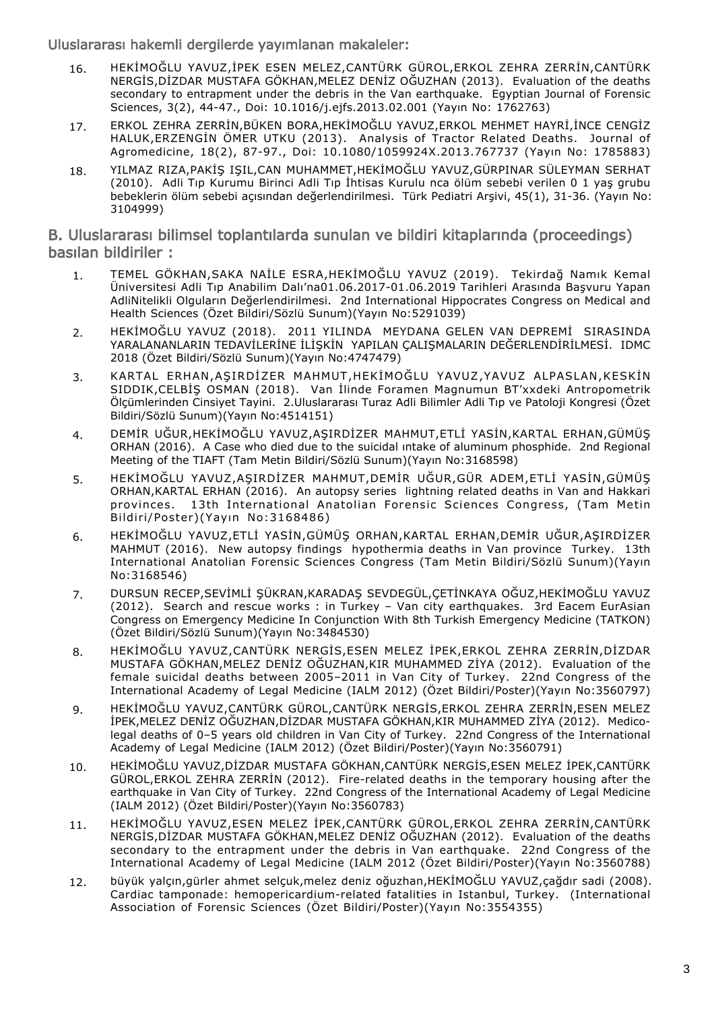Uluslararası hakemli dergilerde yayımlanan makaleler:

- 16. HEKİMOĞLU YAVUZ,İPEK ESEN MELEZ,CANTÜRK GÜROL,ERKOL ZEHRA ZERRİN,CANTÜRK NERGİS,DİZDAR MUSTAFA GÖKHAN,MELEZ DENİZ OĞUZHAN (2013). Evaluation of the deaths secondary to entrapment under the debris in the Van earthquake. Egyptian Journal of Forensic Sciences, 3(2), 44-47., Doi: 10.1016/j.ejfs.2013.02.001 (Yayın No: 1762763)
- 17. ERKOL ZEHRA ZERRİN,BÜKEN BORA,HEKİMOĞLU YAVUZ,ERKOL MEHMET HAYRİ,İNCE CENGİZ HALUK,ERZENGİN ÖMER UTKU (2013). Analysis of Tractor Related Deaths. Journal of Agromedicine, 18(2), 87-97., Doi: 10.1080/1059924X.2013.767737 (Yayın No: 1785883)
- 18. YILMAZ RIZA,PAKİŞ IŞIL,CAN MUHAMMET,HEKİMOĞLU YAVUZ,GÜRPINAR SÜLEYMAN SERHAT (2010). Adli Tıp Kurumu Birinci Adli Tıp İhtisas Kurulu nca ölüm sebebi verilen 0 1 yaş grubu bebeklerin ölüm sebebi açısından değerlendirilmesi. Türk Pediatri Arşivi, 45(1), 31-36. (Yayın No: 3104999)

#### B. Uluslararası bilimsel toplantılarda sunulan ve bildiri kitaplarında (proceedings) basılan bildiriler :

- TEMEL GÖKHAN,SAKA NAİLE ESRA,HEKİMOĞLU YAVUZ (2019). Tekirdağ Namık Kemal Üniversitesi Adli Tıp Anabilim Dalı'na01.06.2017-01.06.2019 Tarihleri Arasında Başvuru Yapan AdliNitelikli Olguların Değerlendirilmesi. 2nd International Hippocrates Congress on Medical and Health Sciences (Özet Bildiri/Sözlü Sunum)(Yayın No:5291039) 1.
- HEKİMOĞLU YAVUZ (2018). 2011 YILINDA MEYDANA GELEN VAN DEPREMİ SIRASINDA YARALANANLARIN TEDAVİLERİNE İLİŞKİN YAPILAN ÇALIŞMALARIN DEĞERLENDİRİLMESİ. IDMC 2018 (Özet Bildiri/Sözlü Sunum)(Yayın No:4747479) 2.
- KARTAL ERHAN, ASIRDİZER MAHMUT, HEKİMOĞLU YAVUZ, YAVUZ ALPASLAN, KESKİN SIDDIK,CELBİŞ OSMAN (2018). Van İlinde Foramen Magnumun BT'xxdeki Antropometrik Ölçümlerinden Cinsiyet Tayini. 2.Uluslararası Turaz Adli Bilimler Adli Tıp ve Patoloji Kongresi (Özet Bildiri/Sözlü Sunum)(Yayın No:4514151) 3.
- DEMİR UĞUR,HEKİMOĞLU YAVUZ,AŞIRDİZER MAHMUT,ETLİ YASİN,KARTAL ERHAN,GÜMÜŞ ORHAN (2016). A Case who died due to the suicidal ıntake of aluminum phosphide. 2nd Regional Meeting of the TIAFT (Tam Metin Bildiri/Sözlü Sunum)(Yayın No:3168598) 4.
- HEKİMOĞLU YAVUZ,AŞIRDİZER MAHMUT,DEMİR UĞUR,GÜR ADEM,ETLİ YASİN,GÜMÜŞ ORHAN,KARTAL ERHAN (2016). An autopsy series lightning related deaths in Van and Hakkari provinces. 13th International Anatolian Forensic Sciences Congress, (Tam Metin Bildiri/Poster)(Yayın No:3168486) 5.
- HEKİMOĞLU YAVUZ,ETLİ YASİN,GÜMÜŞ ORHAN,KARTAL ERHAN,DEMİR UĞUR,AŞIRDİZER MAHMUT (2016). New autopsy findings hypothermia deaths in Van province Turkey. 13th International Anatolian Forensic Sciences Congress (Tam Metin Bildiri/Sözlü Sunum)(Yayın No:3168546) 6.
- DURSUN RECEP,SEVİMLİ ŞÜKRAN,KARADAŞ SEVDEGÜL,ÇETİNKAYA OĞUZ,HEKİMOĞLU YAVUZ (2012). Search and rescue works : in Turkey – Van city earthquakes. 3rd Eacem EurAsian Congress on Emergency Medicine In Conjunction With 8th Turkish Emergency Medicine (TATKON) (Özet Bildiri/Sözlü Sunum)(Yayın No:3484530) 7.
- HEKİMOĞLU YAVUZ,CANTÜRK NERGİS,ESEN MELEZ İPEK,ERKOL ZEHRA ZERRİN,DİZDAR MUSTAFA GÖKHAN,MELEZ DENİZ OĞUZHAN,KIR MUHAMMED ZİYA (2012). Evaluation of the female suicidal deaths between 2005–2011 in Van City of Turkey. 22nd Congress of the International Academy of Legal Medicine (IALM 2012) (Özet Bildiri/Poster)(Yayın No:3560797) 8.
- HEKİMOĞLU YAVUZ,CANTÜRK GÜROL,CANTÜRK NERGİS,ERKOL ZEHRA ZERRİN,ESEN MELEZ İPEK,MELEZ DENİZ OĞUZHAN,DİZDAR MUSTAFA GÖKHAN,KIR MUHAMMED ZİYA (2012). Medicolegal deaths of 0–5 years old children in Van City of Turkey. 22nd Congress of the International Academy of Legal Medicine (IALM 2012) (Özet Bildiri/Poster)(Yayın No:3560791) 9.
- HEKİMOĞLU YAVUZ,DİZDAR MUSTAFA GÖKHAN,CANTÜRK NERGİS,ESEN MELEZ İPEK,CANTÜRK GÜROL,ERKOL ZEHRA ZERRİN (2012). Fire-related deaths in the temporary housing after the earthquake in Van City of Turkey. 22nd Congress of the International Academy of Legal Medicine (IALM 2012) (Özet Bildiri/Poster)(Yayın No:3560783) 10.
- HEKİMOĞLU YAVUZ,ESEN MELEZ İPEK,CANTÜRK GÜROL,ERKOL ZEHRA ZERRİN,CANTÜRK NERGİS,DİZDAR MUSTAFA GÖKHAN,MELEZ DENİZ OĞUZHAN (2012). Evaluation of the deaths secondary to the entrapment under the debris in Van earthquake. 22nd Congress of the International Academy of Legal Medicine (IALM 2012 (Özet Bildiri/Poster)(Yayın No:3560788) 11.
- büyük yalçın,gürler ahmet selçuk,melez deniz oğuzhan,HEKİMOĞLU YAVUZ,çağdır sadi (2008). Cardiac tamponade: hemopericardium-related fatalities in Istanbul, Turkey. (International Association of Forensic Sciences (Özet Bildiri/Poster)(Yayın No:3554355) 12.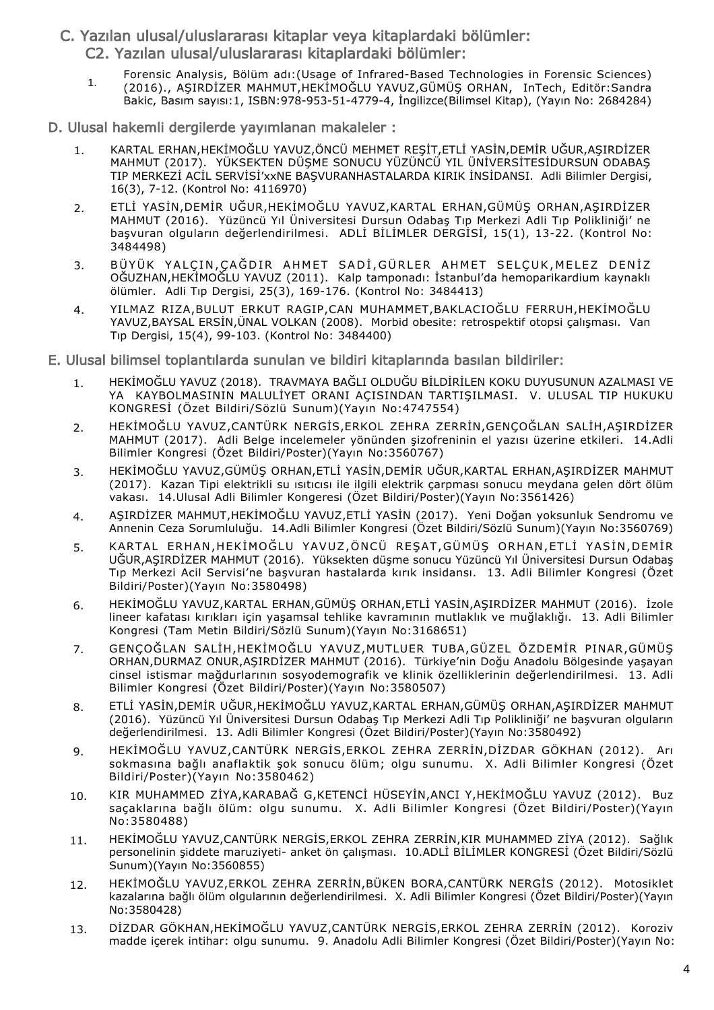- C. Yazılan ulusal/uluslararası kitaplar veya kitaplardaki bölümler: C2. Yazılan ulusal/uluslararası kitaplardaki bölümler:
	- Forensic Analysis, Bölüm adı:(Usage of Infrared-Based Technologies in Forensic Sciences) (2016)., AŞIRDİZER MAHMUT,HEKİMOĞLU YAVUZ,GÜMÜŞ ORHAN, InTech, Editör:Sandra Bakic, Basım sayısı:1, ISBN:978-953-51-4779-4, İngilizce(Bilimsel Kitap), (Yayın No: 2684284) 1.
- D. Ulusal hakemli dergilerde yayımlanan makaleler :
	- 1. KARTAL ERHAN,HEKİMOĞLU YAVUZ,ÖNCÜ MEHMET REŞİT,ETLİ YASİN,DEMİR UĞUR,AŞIRDİZER MAHMUT (2017). YÜKSEKTEN DÜŞME SONUCU YÜZÜNCÜ YIL ÜNİVERSİTESİDURSUN ODABAŞ TIP MERKEZİ ACİL SERVİSİ'xxNE BAŞVURANHASTALARDA KIRIK İNSİDANSI. Adli Bilimler Dergisi, 16(3), 7-12. (Kontrol No: 4116970)
	- 2. ETLİ YASİN,DEMİR UĞUR,HEKİMOĞLU YAVUZ,KARTAL ERHAN,GÜMÜŞ ORHAN,AŞIRDİZER MAHMUT (2016). Yüzüncü Yıl Üniversitesi Dursun Odabaş Tıp Merkezi Adli Tıp Polikliniği' ne başvuran olguların değerlendirilmesi. ADLİ BİLİMLER DERGİSİ, 15(1), 13-22. (Kontrol No: 3484498)
	- 3. BÜYÜK YALÇIN,ÇAĞDIR AHMET SADİ,GÜRLER AHMET SELÇUK,MELEZ DENİZ OĞUZHAN,HEKİMOĞLU YAVUZ (2011). Kalp tamponadı: İstanbul'da hemoparikardium kaynaklı ölümler. Adli Tıp Dergisi, 25(3), 169-176. (Kontrol No: 3484413)
	- 4. YILMAZ RIZA,BULUT ERKUT RAGIP,CAN MUHAMMET,BAKLACIOĞLU FERRUH,HEKİMOĞLU YAVUZ,BAYSAL ERSİN,ÜNAL VOLKAN (2008). Morbid obesite: retrospektif otopsi çalışması. Van Tıp Dergisi, 15(4), 99-103. (Kontrol No: 3484400)
- E. Ulusal bilimsel toplantılarda sunulan ve bildiri kitaplarında basılan bildiriler:
	- 1. HEKİMOĞLU YAVUZ (2018). TRAVMAYA BAĞLI OLDUĞU BİLDİRİLEN KOKU DUYUSUNUN AZALMASI VE YA KAYBOLMASININ MALULİYET ORANI AÇISINDAN TARTIŞILMASI. V. ULUSAL TIP HUKUKU KONGRESİ (Özet Bildiri/Sözlü Sunum)(Yayın No:4747554)
	- 2. HEKİMOĞLU YAVUZ,CANTÜRK NERGİS,ERKOL ZEHRA ZERRİN,GENÇOĞLAN SALİH,AŞIRDİZER MAHMUT (2017). Adli Belge incelemeler yönünden şizofreninin el yazısı üzerine etkileri. 14.Adli Bilimler Kongresi (Özet Bildiri/Poster)(Yayın No:3560767)
	- 3. HEKİMOĞLU YAVUZ,GÜMÜŞ ORHAN,ETLİ YASİN,DEMİR UĞUR,KARTAL ERHAN,AŞIRDİZER MAHMUT (2017). Kazan Tipi elektrikli su ısıtıcısı ile ilgili elektrik çarpması sonucu meydana gelen dört ölüm vakası. 14.Ulusal Adli Bilimler Kongeresi (Özet Bildiri/Poster)(Yayın No:3561426)
	- 4. AŞIRDİZER MAHMUT,HEKİMOĞLU YAVUZ,ETLİ YASİN (2017). Yeni Doğan yoksunluk Sendromu ve Annenin Ceza Sorumluluğu. 14.Adli Bilimler Kongresi (Özet Bildiri/Sözlü Sunum)(Yayın No:3560769)
	- 5. KARTAL ERHAN,HEKİMOĞLU YAVUZ,ÖNCÜ REŞAT,GÜMÜŞ ORHAN,ETLİ YASİN,DEMİR UĞUR,AŞIRDİZER MAHMUT (2016). Yüksekten düşme sonucu Yüzüncü Yıl Üniversitesi Dursun Odabaş Tıp Merkezi Acil Servisi'ne başvuran hastalarda kırık insidansı. 13. Adli Bilimler Kongresi (Özet Bildiri/Poster)(Yayın No:3580498)
	- 6. HEKİMOĞLU YAVUZ,KARTAL ERHAN,GÜMÜŞ ORHAN,ETLİ YASİN,AŞIRDİZER MAHMUT (2016). İzole lineer kafatası kırıkları için yaşamsal tehlike kavramının mutlaklık ve muğlaklığı. 13. Adli Bilimler Kongresi (Tam Metin Bildiri/Sözlü Sunum)(Yayın No:3168651)
	- 7. GENÇOĞLAN SALİH,HEKİMOĞLU YAVUZ,MUTLUER TUBA,GÜZEL ÖZDEMİR PINAR,GÜMÜŞ ORHAN,DURMAZ ONUR,AŞIRDİZER MAHMUT (2016). Türkiye'nin Doğu Anadolu Bölgesinde yaşayan cinsel istismar mağdurlarının sosyodemografik ve klinik özelliklerinin değerlendirilmesi. 13. Adli Bilimler Kongresi (Özet Bildiri/Poster)(Yayın No:3580507)
	- 8. ETLİ YASİN,DEMİR UĞUR,HEKİMOĞLU YAVUZ,KARTAL ERHAN,GÜMÜŞ ORHAN,AŞIRDİZER MAHMUT (2016). Yüzüncü Yıl Üniversitesi Dursun Odabaş Tıp Merkezi Adli Tıp Polikliniği' ne başvuran olguların değerlendirilmesi. 13. Adli Bilimler Kongresi (Özet Bildiri/Poster)(Yayın No:3580492)
	- 9. HEKİMOĞLU YAVUZ,CANTÜRK NERGİS,ERKOL ZEHRA ZERRİN,DİZDAR GÖKHAN (2012). Arı sokmasına bağlı anaflaktik şok sonucu ölüm; olgu sunumu. X. Adli Bilimler Kongresi (Özet Bildiri/Poster)(Yayın No:3580462)
	- 10. KIR MUHAMMED ZİYA,KARABAĞ G,KETENCİ HÜSEYİN,ANCI Y,HEKİMOĞLU YAVUZ (2012). Buz saçaklarına bağlı ölüm: olgu sunumu. X. Adli Bilimler Kongresi (Özet Bildiri/Poster)(Yayın No:3580488)
	- 11. HEKİMOĞLU YAVUZ,CANTÜRK NERGİS,ERKOL ZEHRA ZERRİN,KIR MUHAMMED ZİYA (2012). Sağlık personelinin şiddete maruziyeti- anket ön çalışması. 10.ADLİ BİLİMLER KONGRESİ (Özet Bildiri/Sözlü Sunum)(Yayın No:3560855)
	- 12. HEKİMOĞLU YAVUZ,ERKOL ZEHRA ZERRİN,BÜKEN BORA,CANTÜRK NERGİS (2012). Motosiklet kazalarına bağlı ölüm olgularının değerlendirilmesi. X. Adli Bilimler Kongresi (Özet Bildiri/Poster)(Yayın No:3580428)
	- 13. DİZDAR GÖKHAN,HEKİMOĞLU YAVUZ,CANTÜRK NERGİS,ERKOL ZEHRA ZERRİN (2012). Koroziv madde içerek intihar: olgu sunumu. 9. Anadolu Adli Bilimler Kongresi (Özet Bildiri/Poster)(Yayın No: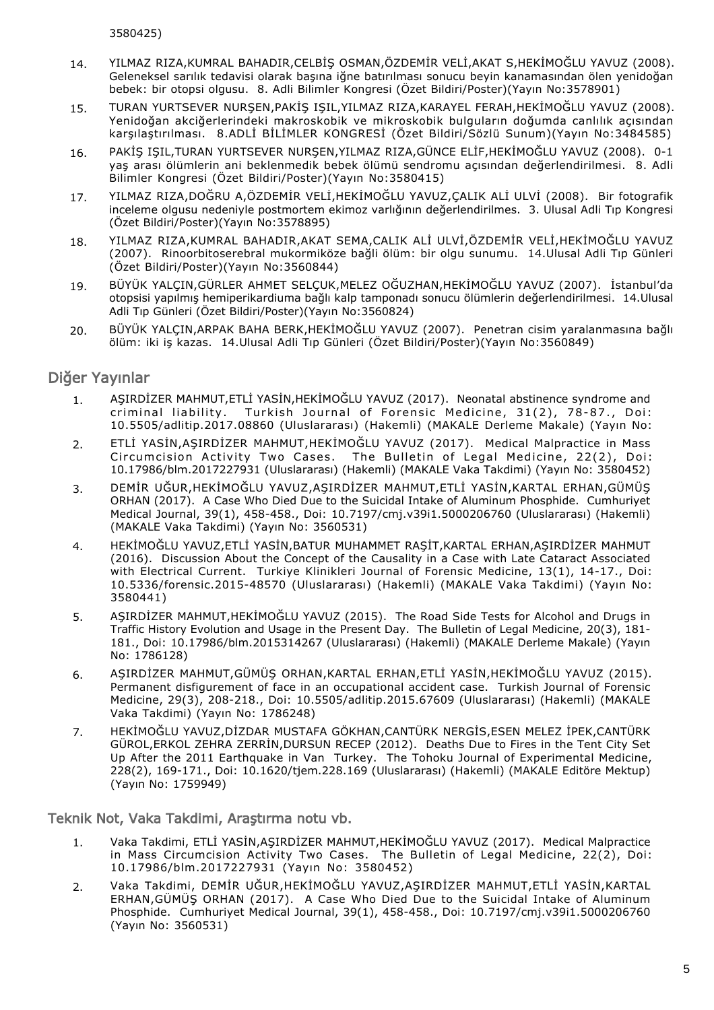3580425)

- 14. YILMAZ RIZA,KUMRAL BAHADIR,CELBİŞ OSMAN,ÖZDEMİR VELİ,AKAT S,HEKİMOĞLU YAVUZ (2008). Geleneksel sarılık tedavisi olarak başına iğne batırılması sonucu beyin kanamasından ölen yenidoğan bebek: bir otopsi olgusu. 8. Adli Bilimler Kongresi (Özet Bildiri/Poster)(Yayın No:3578901)
- 15. TURAN YURTSEVER NURŞEN,PAKİŞ IŞIL,YILMAZ RIZA,KARAYEL FERAH,HEKİMOĞLU YAVUZ (2008). Yenidoğan akciğerlerindeki makroskobik ve mikroskobik bulguların doğumda canlılık açısından karşılaştırılması. 8.ADLİ BİLİMLER KONGRESİ (Özet Bildiri/Sözlü Sunum)(Yayın No:3484585)
- 16. PAKİŞ IŞIL,TURAN YURTSEVER NURŞEN,YILMAZ RIZA,GÜNCE ELİF,HEKİMOĞLU YAVUZ (2008). 0-1 yaş arası ölümlerin ani beklenmedik bebek ölümü sendromu açısından değerlendirilmesi. 8. Adli Bilimler Kongresi (Özet Bildiri/Poster)(Yayın No:3580415)
- 17. YILMAZ RIZA,DOĞRU A,ÖZDEMİR VELİ,HEKİMOĞLU YAVUZ,ÇALIK ALİ ULVİ (2008). Bir fotografik inceleme olgusu nedeniyle postmortem ekimoz varlığının değerlendirilmes. 3. Ulusal Adli Tıp Kongresi (Özet Bildiri/Poster)(Yayın No:3578895)
- 18. YILMAZ RIZA,KUMRAL BAHADIR,AKAT SEMA,CALIK ALİ ULVİ,ÖZDEMİR VELİ,HEKİMOĞLU YAVUZ (2007). Rinoorbitoserebral mukormiköze bağli ölüm: bir olgu sunumu. 14.Ulusal Adli Tıp Günleri (Özet Bildiri/Poster)(Yayın No:3560844)
- 19. BÜYÜK YALÇIN,GÜRLER AHMET SELÇUK,MELEZ OĞUZHAN,HEKİMOĞLU YAVUZ (2007). İstanbul'da otopsisi yapılmış hemiperikardiuma bağlı kalp tamponadı sonucu ölümlerin değerlendirilmesi. 14.Ulusal Adli Tıp Günleri (Özet Bildiri/Poster)(Yayın No:3560824)
- 20. BÜYÜK YALÇIN,ARPAK BAHA BERK,HEKİMOĞLU YAVUZ (2007). Penetran cisim yaralanmasına bağlı ölüm: iki iş kazas. 14.Ulusal Adli Tıp Günleri (Özet Bildiri/Poster)(Yayın No:3560849)

## Diğer Yayınlar

- 1. AŞIRDİZER MAHMUT,ETLİ YASİN,HEKİMOĞLU YAVUZ (2017). Neonatal abstinence syndrome and criminal liability. Turkish Journal of Forensic Medicine, 31(2), 78-87., Doi: 10.5505/adlitip.2017.08860 (Uluslararası) (Hakemli) (MAKALE Derleme Makale) (Yayın No:
- 2. ETLİ YASİN,AŞIRDİZER MAHMUT,HEKİMOĞLU YAVUZ (2017). Medical Malpractice in Mass Circumcision Activity Two Cases. The Bulletin of Legal Medicine, 22(2), Doi: 10.17986/blm.2017227931 (Uluslararası) (Hakemli) (MAKALE Vaka Takdimi) (Yayın No: 3580452)
- 3. DEMİR UĞUR,HEKİMOĞLU YAVUZ,AŞIRDİZER MAHMUT,ETLİ YASİN,KARTAL ERHAN,GÜMÜŞ ORHAN (2017). A Case Who Died Due to the Suicidal Intake of Aluminum Phosphide. Cumhuriyet Medical Journal, 39(1), 458-458., Doi: 10.7197/cmj.v39i1.5000206760 (Uluslararası) (Hakemli) (MAKALE Vaka Takdimi) (Yayın No: 3560531)
- 4. HEKİMOĞLU YAVUZ,ETLİ YASİN,BATUR MUHAMMET RAŞİT,KARTAL ERHAN,AŞIRDİZER MAHMUT (2016). Discussion About the Concept of the Causality in a Case with Late Cataract Associated with Electrical Current. Turkiye Klinikleri Journal of Forensic Medicine, 13(1), 14-17., Doi: 10.5336/forensic.2015-48570 (Uluslararası) (Hakemli) (MAKALE Vaka Takdimi) (Yayın No: 3580441)
- 5. AŞIRDİZER MAHMUT,HEKİMOĞLU YAVUZ (2015). The Road Side Tests for Alcohol and Drugs in Traffic History Evolution and Usage in the Present Day. The Bulletin of Legal Medicine, 20(3), 181- 181., Doi: 10.17986/blm.2015314267 (Uluslararası) (Hakemli) (MAKALE Derleme Makale) (Yayın No: 1786128)
- 6. AŞIRDİZER MAHMUT,GÜMÜŞ ORHAN,KARTAL ERHAN,ETLİ YASİN,HEKİMOĞLU YAVUZ (2015). Permanent disfigurement of face in an occupational accident case. Turkish Journal of Forensic Medicine, 29(3), 208-218., Doi: 10.5505/adlitip.2015.67609 (Uluslararası) (Hakemli) (MAKALE Vaka Takdimi) (Yayın No: 1786248)
- 7. HEKİMOĞLU YAVUZ,DİZDAR MUSTAFA GÖKHAN,CANTÜRK NERGİS,ESEN MELEZ İPEK,CANTÜRK GÜROL,ERKOL ZEHRA ZERRİN,DURSUN RECEP (2012). Deaths Due to Fires in the Tent City Set Up After the 2011 Earthquake in Van Turkey. The Tohoku Journal of Experimental Medicine, 228(2), 169-171., Doi: 10.1620/tjem.228.169 (Uluslararası) (Hakemli) (MAKALE Editöre Mektup) (Yayın No: 1759949)

Teknik Not, Vaka Takdimi, Araştırma notu vb.

- 1. Vaka Takdimi, ETLİ YASİN,AŞIRDİZER MAHMUT,HEKİMOĞLU YAVUZ (2017). Medical Malpractice in Mass Circumcision Activity Two Cases. The Bulletin of Legal Medicine, 22(2), Doi: 10.17986/blm.2017227931 (Yayın No: 3580452)
- 2. Vaka Takdimi, DEMİR UĞUR,HEKİMOĞLU YAVUZ,AŞIRDİZER MAHMUT,ETLİ YASİN,KARTAL ERHAN,GÜMÜŞ ORHAN (2017). A Case Who Died Due to the Suicidal Intake of Aluminum Phosphide. Cumhuriyet Medical Journal, 39(1), 458-458., Doi: 10.7197/cmj.v39i1.5000206760 (Yayın No: 3560531)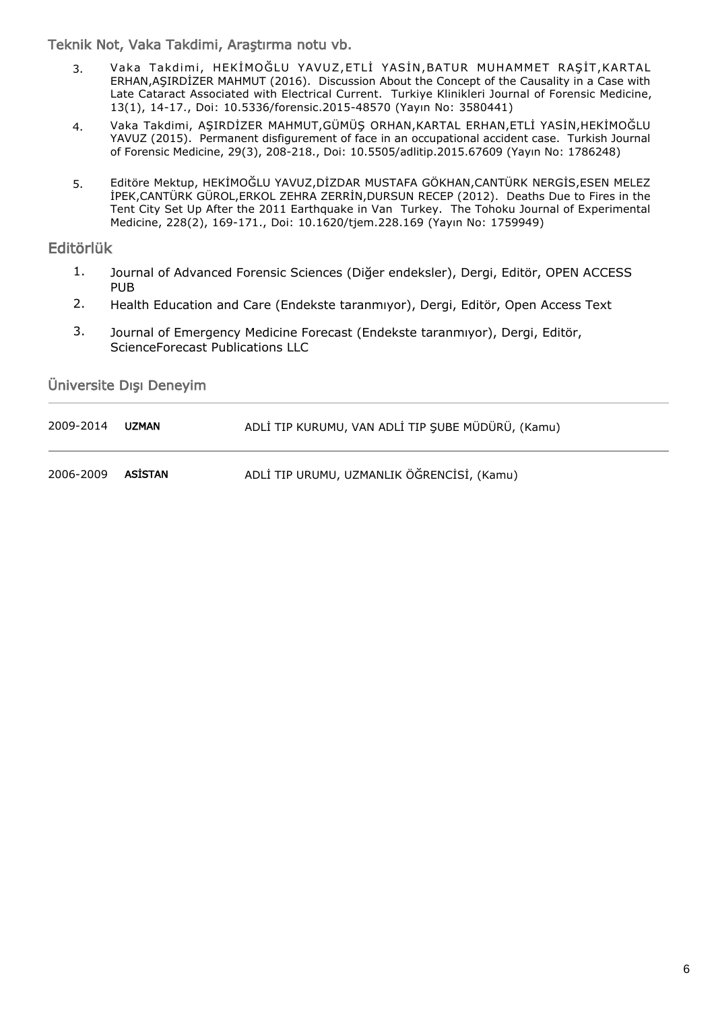Teknik Not, Vaka Takdimi, Araştırma notu vb.

- 3. Vaka Takdimi, HEKİMOĞLU YAVUZ,ETLİ YASİN,BATUR MUHAMMET RAŞİT,KARTAL ERHAN,AŞIRDİZER MAHMUT (2016). Discussion About the Concept of the Causality in a Case with Late Cataract Associated with Electrical Current. Turkiye Klinikleri Journal of Forensic Medicine, 13(1), 14-17., Doi: 10.5336/forensic.2015-48570 (Yayın No: 3580441)
- 4. Vaka Takdimi, AŞIRDİZER MAHMUT,GÜMÜŞ ORHAN,KARTAL ERHAN,ETLİ YASİN,HEKİMOĞLU YAVUZ (2015). Permanent disfigurement of face in an occupational accident case. Turkish Journal of Forensic Medicine, 29(3), 208-218., Doi: 10.5505/adlitip.2015.67609 (Yayın No: 1786248)
- 5. Editöre Mektup, HEKİMOĞLU YAVUZ,DİZDAR MUSTAFA GÖKHAN,CANTÜRK NERGİS,ESEN MELEZ İPEK,CANTÜRK GÜROL,ERKOL ZEHRA ZERRİN,DURSUN RECEP (2012). Deaths Due to Fires in the Tent City Set Up After the 2011 Earthquake in Van Turkey. The Tohoku Journal of Experimental Medicine, 228(2), 169-171., Doi: 10.1620/tjem.228.169 (Yayın No: 1759949)

#### Editörlük

- Journal of Advanced Forensic Sciences (Diğer endeksler), Dergi, Editör, OPEN ACCESS PUB 1.
- 2. Health Education and Care (Endekste taranmıyor), Dergi, Editör, Open Access Text
- Journal of Emergency Medicine Forecast (Endekste taranmıyor), Dergi, Editör, ScienceForecast Publications LLC 3.

Üniversite Dışı Deneyim

| 2009-2014 | <b>UZMAN</b> | ADLİ TIP KURUMU, VAN ADLİ TIP ŞUBE MÜDÜRÜ, (Kamu) |
|-----------|--------------|---------------------------------------------------|
| 2006-2009 | ASİSTAN      | ADLİ TIP URUMU, UZMANLIK ÖĞRENCİSİ, (Kamu)        |